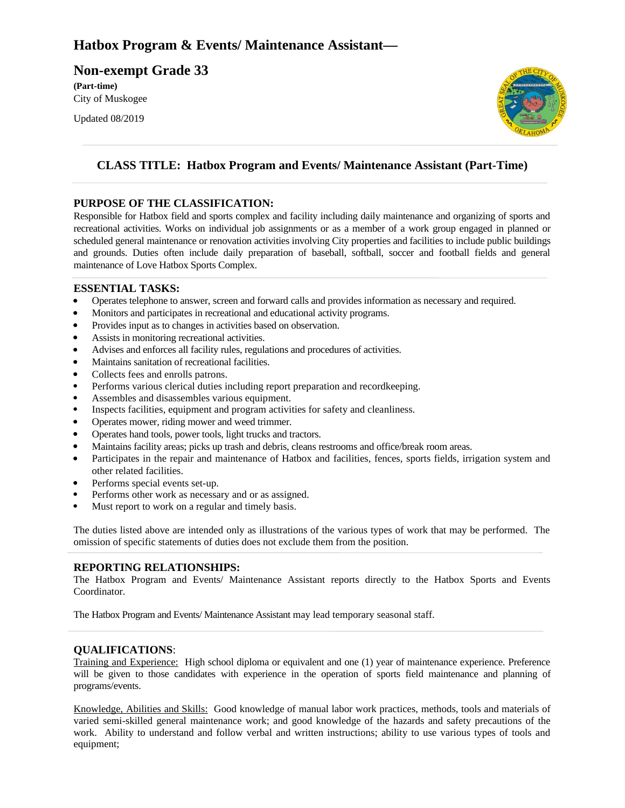# **Hatbox Program & Events/ Maintenance Assistant—**

**Non-exempt Grade 33 (Part-time)** City of Muskogee

Updated 08/2019



### **CLASS TITLE: Hatbox Program and Events/ Maintenance Assistant (Part-Time)**

### **PURPOSE OF THE CLASSIFICATION:**

Responsible for Hatbox field and sports complex and facility including daily maintenance and organizing of sports and recreational activities. Works on individual job assignments or as a member of a work group engaged in planned or scheduled general maintenance or renovation activities involving City properties and facilities to include public buildings and grounds. Duties often include daily preparation of baseball, softball, soccer and football fields and general maintenance of Love Hatbox Sports Complex.

#### **ESSENTIAL TASKS:**

- Operates telephone to answer, screen and forward calls and provides information as necessary and required.
- Monitors and participates in recreational and educational activity programs.
- Provides input as to changes in activities based on observation.
- Assists in monitoring recreational activities.
- Advises and enforces all facility rules, regulations and procedures of activities.
- Maintains sanitation of recreational facilities.
- Collects fees and enrolls patrons.
- Performs various clerical duties including report preparation and recordkeeping.
- Assembles and disassembles various equipment.
- Inspects facilities, equipment and program activities for safety and cleanliness.
- Operates mower, riding mower and weed trimmer.
- Operates hand tools, power tools, light trucks and tractors.
- Maintains facility areas; picks up trash and debris, cleans restrooms and office/break room areas.
- Participates in the repair and maintenance of Hatbox and facilities, fences, sports fields, irrigation system and other related facilities.
- Performs special events set-up.
- Performs other work as necessary and or as assigned.
- Must report to work on a regular and timely basis.

The duties listed above are intended only as illustrations of the various types of work that may be performed. The omission of specific statements of duties does not exclude them from the position.

#### **REPORTING RELATIONSHIPS:**

The Hatbox Program and Events/ Maintenance Assistant reports directly to the Hatbox Sports and Events Coordinator.

The Hatbox Program and Events/ Maintenance Assistant may lead temporary seasonal staff.

#### **QUALIFICATIONS**:

Training and Experience: High school diploma or equivalent and one (1) year of maintenance experience. Preference will be given to those candidates with experience in the operation of sports field maintenance and planning of programs/events.

Knowledge, Abilities and Skills: Good knowledge of manual labor work practices, methods, tools and materials of varied semi-skilled general maintenance work; and good knowledge of the hazards and safety precautions of the work. Ability to understand and follow verbal and written instructions; ability to use various types of tools and equipment;